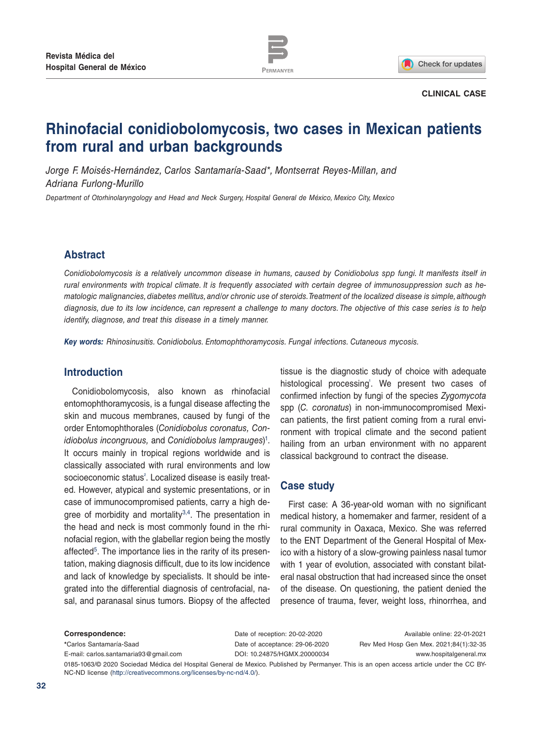

Check for updates

#### **CLINICAL CASE**

# **Rhinofacial conidiobolomycosis, two cases in Mexican patients from rural and urban backgrounds**

*Jorge F. Moisés-Hernández, Carlos Santamaría-Saad\*, Montserrat Reyes-Millan, and Adriana Furlong-Murillo*

*Department of Otorhinolaryngology and Head and Neck Surgery, Hospital General de México, Mexico City, Mexico*

#### **Abstract**

*Conidiobolomycosis is a relatively uncommon disease in humans, caused by Conidiobolus spp fungi. It manifests itself in rural environments with tropical climate. It is frequently associated with certain degree of immunosuppression such as hematologic malignancies, diabetes mellitus, and/or chronic use of steroids. Treatment of the localized disease is simple, although diagnosis, due to its low incidence, can represent a challenge to many doctors. The objective of this case series is to help identify, diagnose, and treat this disease in a timely manner.*

*Key words: Rhinosinusitis. Conidiobolus. Entomophthoramycosis. Fungal infections. Cutaneous mycosis.*

#### **Introduction**

Conidiobolomycosis, also known as rhinofacial entomophthoramycosis, is a fungal disease affecting the skin and mucous membranes, caused by fungi of the order Entomophthorales (*Conidiobolus coronatus, Conidiobolus incongruous,* and *Conidiobolus lamprauges*) 1. It occurs mainly in tropical regions worldwide and is classically associated with rural environments and low socioeconomic status<sup>2</sup>. Localized disease is easily treated. However, atypical and systemic presentations, or in case of immunocompromised patients, carry a high degree of morbidity and mortality<sup>3,4</sup>. The presentation in the head and neck is most commonly found in the rhinofacial region, with the glabellar region being the mostly affected<sup>5</sup>. The importance lies in the rarity of its presentation, making diagnosis difficult, due to its low incidence and lack of knowledge by specialists. It should be integrated into the differential diagnosis of centrofacial, nasal, and paranasal sinus tumors. Biopsy of the affected

tissue is the diagnostic study of choice with adequate histological processing<sup>'</sup>. We present two cases of confirmed infection by fungi of the species *Zygomycota*  spp (*C. coronatus*) in non-immunocompromised Mexican patients, the first patient coming from a rural environment with tropical climate and the second patient hailing from an urban environment with no apparent classical background to contract the disease.

#### **Case study**

First case: A 36-year-old woman with no significant medical history, a homemaker and farmer, resident of a rural community in Oaxaca, Mexico. She was referred to the ENT Department of the General Hospital of Mexico with a history of a slow-growing painless nasal tumor with 1 year of evolution, associated with constant bilateral nasal obstruction that had increased since the onset of the disease. On questioning, the patient denied the presence of trauma, fever, weight loss, rhinorrhea, and

**Correspondence: \***Carlos Santamaría-Saad E-mail: carlos.santamaria93@gmail.com Date of reception: 20-02-2020 Date of acceptance: 29-06-2020 DOI: 10.24875/HGMX.20000034

Available online: 22-01-2021 Rev Med Hosp Gen Mex. 2021;84(1):32-35 www.hospitalgeneral.mx

0185-1063/© 2020 Sociedad Médica del Hospital General de Mexico. Published by Permanyer. This is an open access article under the CC BY-NC-ND license (http://creativecommons.org/licenses/by-nc-nd/4.0/).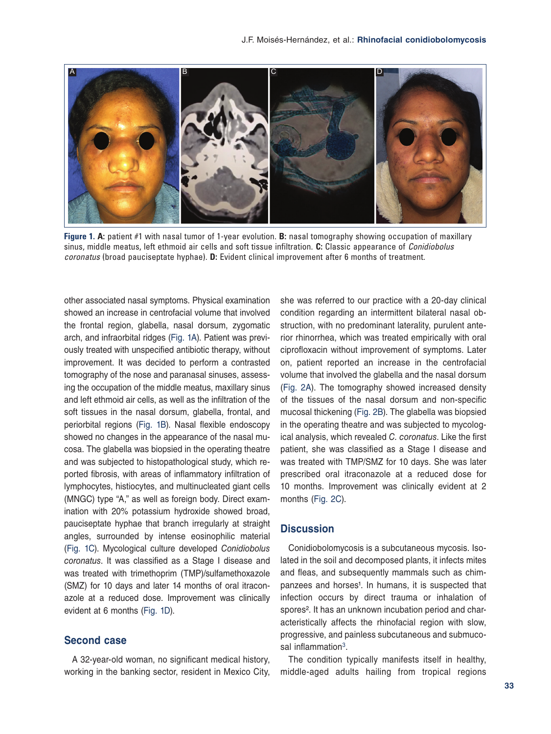

**Figure 1. A:** patient #1 with nasal tumor of 1-year evolution. **B:** nasal tomography showing occupation of maxillary sinus, middle meatus, left ethmoid air cells and soft tissue infiltration. **C:** Classic appearance of *Conidiobolus coronatus* (broad pauciseptate hyphae). **D:** Evident clinical improvement after 6 months of treatment.

other associated nasal symptoms. Physical examination showed an increase in centrofacial volume that involved the frontal region, glabella, nasal dorsum, zygomatic arch, and infraorbital ridges (Fig. 1A). Patient was previously treated with unspecified antibiotic therapy, without improvement. It was decided to perform a contrasted tomography of the nose and paranasal sinuses, assessing the occupation of the middle meatus, maxillary sinus and left ethmoid air cells, as well as the infiltration of the soft tissues in the nasal dorsum, glabella, frontal, and periorbital regions (Fig. 1B). Nasal flexible endoscopy showed no changes in the appearance of the nasal mucosa. The glabella was biopsied in the operating theatre and was subjected to histopathological study, which reported fibrosis, with areas of inflammatory infiltration of lymphocytes, histiocytes, and multinucleated giant cells (MNGC) type "A," as well as foreign body. Direct examination with 20% potassium hydroxide showed broad, pauciseptate hyphae that branch irregularly at straight angles, surrounded by intense eosinophilic material (Fig. 1C). Mycological culture developed *Conidiobolus coronatus*. It was classified as a Stage I disease and was treated with trimethoprim (TMP)/sulfamethoxazole (SMZ) for 10 days and later 14 months of oral itraconazole at a reduced dose. Improvement was clinically evident at 6 months (Fig. 1D).

### **Second case**

A 32-year-old woman, no significant medical history, working in the banking sector, resident in Mexico City,

she was referred to our practice with a 20-day clinical condition regarding an intermittent bilateral nasal obstruction, with no predominant laterality, purulent anterior rhinorrhea, which was treated empirically with oral ciprofloxacin without improvement of symptoms. Later on, patient reported an increase in the centrofacial volume that involved the glabella and the nasal dorsum (Fig. 2A). The tomography showed increased density of the tissues of the nasal dorsum and non-specific mucosal thickening (Fig. 2B). The glabella was biopsied in the operating theatre and was subjected to mycological analysis, which revealed *C. coronatus*. Like the first patient, she was classified as a Stage I disease and was treated with TMP/SMZ for 10 days. She was later prescribed oral itraconazole at a reduced dose for 10 months. Improvement was clinically evident at 2 months (Fig. 2C).

#### **Discussion**

Conidiobolomycosis is a subcutaneous mycosis. Isolated in the soil and decomposed plants, it infects mites and fleas, and subsequently mammals such as chimpanzees and horses<sup>1</sup>. In humans, it is suspected that infection occurs by direct trauma or inhalation of spores<sup>2</sup>. It has an unknown incubation period and characteristically affects the rhinofacial region with slow, progressive, and painless subcutaneous and submucosal inflammation<sup>3</sup>.

The condition typically manifests itself in healthy, middle-aged adults hailing from tropical regions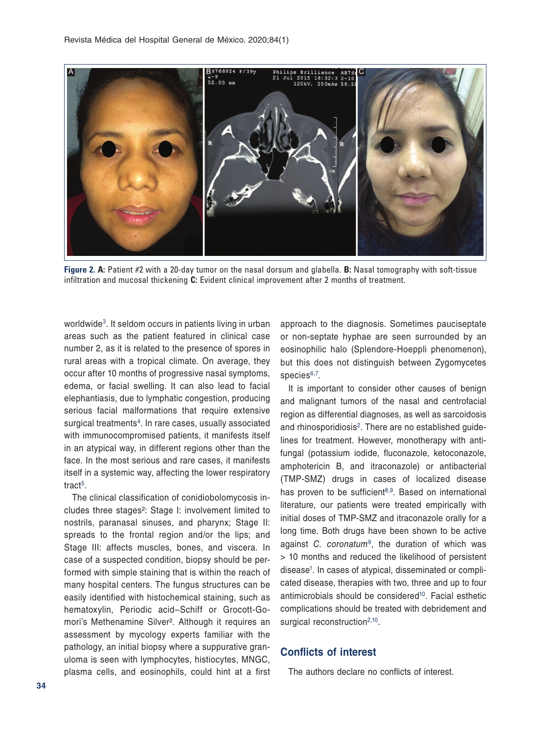

**Figure 2. A:** Patient #2 with a 20-day tumor on the nasal dorsum and glabella. **B:** Nasal tomography with soft-tissue infiltration and mucosal thickening **C:** Evident clinical improvement after 2 months of treatment.

worldwide<sup>3</sup>. It seldom occurs in patients living in urban areas such as the patient featured in clinical case number 2, as it is related to the presence of spores in rural areas with a tropical climate. On average, they occur after 10 months of progressive nasal symptoms, edema, or facial swelling. It can also lead to facial elephantiasis, due to lymphatic congestion, producing serious facial malformations that require extensive surgical treatments<sup>4</sup>. In rare cases, usually associated with immunocompromised patients, it manifests itself in an atypical way, in different regions other than the face. In the most serious and rare cases, it manifests itself in a systemic way, affecting the lower respiratory tract<sup>5</sup>.

The clinical classification of conidiobolomycosis includes three stages²: Stage I: involvement limited to nostrils, paranasal sinuses, and pharynx; Stage II: spreads to the frontal region and/or the lips; and Stage III: affects muscles, bones, and viscera. In case of a suspected condition, biopsy should be performed with simple staining that is within the reach of many hospital centers. The fungus structures can be easily identified with histochemical staining, such as hematoxylin, Periodic acid–Schiff or Grocott-Gomori's Methenamine Silver². Although it requires an assessment by mycology experts familiar with the pathology, an initial biopsy where a suppurative granuloma is seen with lymphocytes, histiocytes, MNGC, plasma cells, and eosinophils, could hint at a first approach to the diagnosis. Sometimes pauciseptate or non-septate hyphae are seen surrounded by an eosinophilic halo (Splendore-Hoeppli phenomenon), but this does not distinguish between Zygomycetes species<sup>6,7</sup>.

It is important to consider other causes of benign and malignant tumors of the nasal and centrofacial region as differential diagnoses, as well as sarcoidosis and rhinosporidiosis<sup>2</sup>. There are no established guidelines for treatment. However, monotherapy with antifungal (potassium iodide, fluconazole, ketoconazole, amphotericin B, and itraconazole) or antibacterial (TMP-SMZ) drugs in cases of localized disease has proven to be sufficient $8,9$ . Based on international literature, our patients were treated empirically with initial doses of TMP-SMZ and itraconazole orally for a long time. Both drugs have been shown to be active against *C. coronatum*9, the duration of which was > 10 months and reduced the likelihood of persistent disease<sup>1</sup>. In cases of atypical, disseminated or complicated disease, therapies with two, three and up to four antimicrobials should be considered<sup>10</sup>. Facial esthetic complications should be treated with debridement and surgical reconstruction<sup>2,10</sup>.

## **Conflicts of interest**

The authors declare no conflicts of interest.